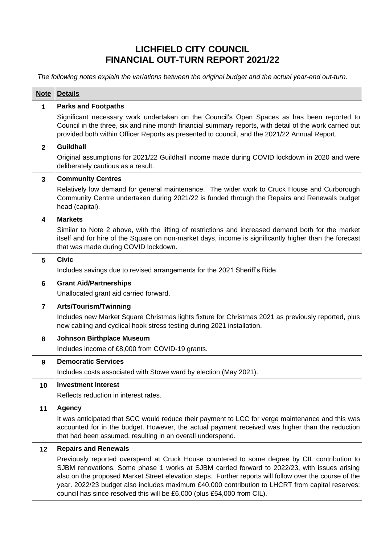## **LICHFIELD CITY COUNCIL FINANCIAL OUT-TURN REPORT 2021/22**

*The following notes explain the variations between the original budget and the actual year-end out-turn.*

| <b>Note</b>  | <b>Details</b>                                                                                                                                                                                                                                                                                                                                                                                                                                                                       |
|--------------|--------------------------------------------------------------------------------------------------------------------------------------------------------------------------------------------------------------------------------------------------------------------------------------------------------------------------------------------------------------------------------------------------------------------------------------------------------------------------------------|
| $\mathbf{1}$ | <b>Parks and Footpaths</b>                                                                                                                                                                                                                                                                                                                                                                                                                                                           |
|              | Significant necessary work undertaken on the Council's Open Spaces as has been reported to<br>Council in the three, six and nine month financial summary reports, with detail of the work carried out<br>provided both within Officer Reports as presented to council, and the 2021/22 Annual Report.                                                                                                                                                                                |
| $\mathbf{2}$ | <b>Guildhall</b>                                                                                                                                                                                                                                                                                                                                                                                                                                                                     |
|              | Original assumptions for 2021/22 Guildhall income made during COVID lockdown in 2020 and were<br>deliberately cautious as a result.                                                                                                                                                                                                                                                                                                                                                  |
| 3            | <b>Community Centres</b>                                                                                                                                                                                                                                                                                                                                                                                                                                                             |
|              | Relatively low demand for general maintenance. The wider work to Cruck House and Curborough<br>Community Centre undertaken during 2021/22 is funded through the Repairs and Renewals budget<br>head (capital).                                                                                                                                                                                                                                                                       |
| 4            | <b>Markets</b>                                                                                                                                                                                                                                                                                                                                                                                                                                                                       |
|              | Similar to Note 2 above, with the lifting of restrictions and increased demand both for the market<br>itself and for hire of the Square on non-market days, income is significantly higher than the forecast<br>that was made during COVID lockdown.                                                                                                                                                                                                                                 |
| 5            | <b>Civic</b>                                                                                                                                                                                                                                                                                                                                                                                                                                                                         |
|              | Includes savings due to revised arrangements for the 2021 Sheriff's Ride.                                                                                                                                                                                                                                                                                                                                                                                                            |
| 6            | <b>Grant Aid/Partnerships</b>                                                                                                                                                                                                                                                                                                                                                                                                                                                        |
|              | Unallocated grant aid carried forward.                                                                                                                                                                                                                                                                                                                                                                                                                                               |
| 7            | Arts/Tourism/Twinning                                                                                                                                                                                                                                                                                                                                                                                                                                                                |
|              | Includes new Market Square Christmas lights fixture for Christmas 2021 as previously reported, plus<br>new cabling and cyclical hook stress testing during 2021 installation.                                                                                                                                                                                                                                                                                                        |
| 8            | <b>Johnson Birthplace Museum</b>                                                                                                                                                                                                                                                                                                                                                                                                                                                     |
|              | Includes income of £8,000 from COVID-19 grants.                                                                                                                                                                                                                                                                                                                                                                                                                                      |
| 9            | <b>Democratic Services</b>                                                                                                                                                                                                                                                                                                                                                                                                                                                           |
|              | Includes costs associated with Stowe ward by election (May 2021).                                                                                                                                                                                                                                                                                                                                                                                                                    |
| 10           | <b>Investment Interest</b>                                                                                                                                                                                                                                                                                                                                                                                                                                                           |
|              | Reflects reduction in interest rates.                                                                                                                                                                                                                                                                                                                                                                                                                                                |
| 11           | <b>Agency</b>                                                                                                                                                                                                                                                                                                                                                                                                                                                                        |
|              | It was anticipated that SCC would reduce their payment to LCC for verge maintenance and this was<br>accounted for in the budget. However, the actual payment received was higher than the reduction<br>that had been assumed, resulting in an overall underspend.                                                                                                                                                                                                                    |
| 12           | <b>Repairs and Renewals</b>                                                                                                                                                                                                                                                                                                                                                                                                                                                          |
|              | Previously reported overspend at Cruck House countered to some degree by CIL contribution to<br>SJBM renovations. Some phase 1 works at SJBM carried forward to 2022/23, with issues arising<br>also on the proposed Market Street elevation steps. Further reports will follow over the course of the<br>year. 2022/23 budget also includes maximum £40,000 contribution to LHCRT from capital reserves;<br>council has since resolved this will be £6,000 (plus £54,000 from CIL). |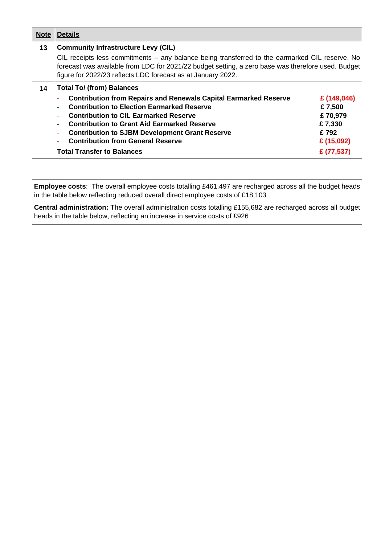| <b>Note</b> | <b>Details</b>                                                                                                                                                                                                                                                       |             |  |  |  |
|-------------|----------------------------------------------------------------------------------------------------------------------------------------------------------------------------------------------------------------------------------------------------------------------|-------------|--|--|--|
| 13          | <b>Community Infrastructure Levy (CIL)</b>                                                                                                                                                                                                                           |             |  |  |  |
|             | CIL receipts less commitments – any balance being transferred to the earmarked CIL reserve. No<br>forecast was available from LDC for 2021/22 budget setting, a zero base was therefore used. Budget<br>figure for 2022/23 reflects LDC forecast as at January 2022. |             |  |  |  |
| 14          | <b>Total To/ (from) Balances</b>                                                                                                                                                                                                                                     |             |  |  |  |
|             | <b>Contribution from Repairs and Renewals Capital Earmarked Reserve</b>                                                                                                                                                                                              | £ (149,046) |  |  |  |
|             | <b>Contribution to Election Earmarked Reserve</b>                                                                                                                                                                                                                    | £7,500      |  |  |  |
|             | <b>Contribution to CIL Earmarked Reserve</b>                                                                                                                                                                                                                         | £70,979     |  |  |  |
|             | <b>Contribution to Grant Aid Earmarked Reserve</b>                                                                                                                                                                                                                   | £7,330      |  |  |  |
|             | <b>Contribution to SJBM Development Grant Reserve</b>                                                                                                                                                                                                                | £792        |  |  |  |
|             | <b>Contribution from General Reserve</b>                                                                                                                                                                                                                             | £ (15,092)  |  |  |  |
|             | <b>Total Transfer to Balances</b>                                                                                                                                                                                                                                    | £ (77,537)  |  |  |  |

**Employee costs**:The overall employee costs totalling £461,497 are recharged across all the budget heads in the table below reflecting reduced overall direct employee costs of £18,103

**Central administration:** The overall administration costs totalling £155,682 are recharged across all budget heads in the table below, reflecting an increase in service costs of £926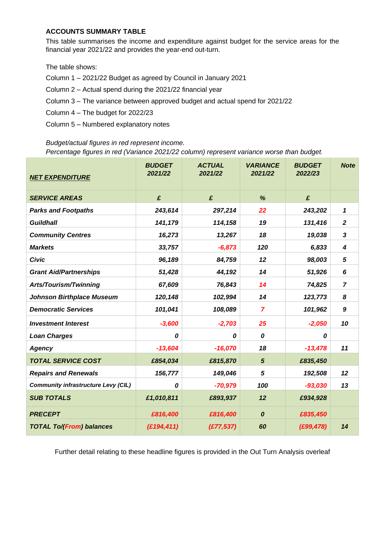## **ACCOUNTS SUMMARY TABLE**

This table summarises the income and expenditure against budget for the service areas for the financial year 2021/22 and provides the year-end out-turn.

The table shows:

Column 1 – 2021/22 Budget as agreed by Council in January 2021

- Column 2 Actual spend during the 2021/22 financial year
- Column 3 The variance between approved budget and actual spend for 2021/22
- Column 4 The budget for 2022/23
- Column 5 Numbered explanatory notes

## *Budget/actual figures in red represent income.*

*Percentage figures in red (Variance 2021/22 column) represent variance worse than budget.*

| <b>NET EXPENDITURE</b>                     | <b>BUDGET</b><br>2021/22 | <b>ACTUAL</b><br>2021/22 | <b>VARIANCE</b><br>2021/22 | <b>BUDGET</b><br>2022/23 | <b>Note</b>             |
|--------------------------------------------|--------------------------|--------------------------|----------------------------|--------------------------|-------------------------|
| <b>SERVICE AREAS</b>                       | £                        | £                        | %                          | £                        |                         |
| <b>Parks and Footpaths</b>                 | 243,614                  | 297,214                  | 22                         | 243,202                  | 1                       |
| <b>Guildhall</b>                           | 141,179                  | 114,158                  | 19                         | 131,416                  | $\boldsymbol{2}$        |
| <b>Community Centres</b>                   | 16,273                   | 13,267                   | 18                         | 19,038                   | $\overline{\mathbf{3}}$ |
| <b>Markets</b>                             | 33,757                   | $-6,873$                 | 120                        | 6,833                    | 4                       |
| <b>Civic</b>                               | 96,189                   | 84,759                   | 12                         | 98,003                   | 5                       |
| <b>Grant Aid/Partnerships</b>              | 51,428                   | 44,192                   | 14                         | 51,926                   | 6                       |
| <b>Arts/Tourism/Twinning</b>               | 67,609                   | 76,843                   | 14                         | 74,825                   | $\overline{7}$          |
| <b>Johnson Birthplace Museum</b>           | 120,148                  | 102,994                  | 14                         | 123,773                  | 8                       |
| <b>Democratic Services</b>                 | 101,041                  | 108,089                  | $\overline{7}$             | 101,962                  | 9                       |
| <b>Investment Interest</b>                 | $-3,600$                 | $-2,703$                 | 25                         | $-2,050$                 | 10                      |
| <b>Loan Charges</b>                        | 0                        | 0                        | 0                          | 0                        |                         |
| <b>Agency</b>                              | $-13,604$                | $-16,070$                | 18                         | $-13,478$                | 11                      |
| <b>TOTAL SERVICE COST</b>                  | £854,034                 | £815,870                 | 5                          | £835,450                 |                         |
| <b>Repairs and Renewals</b>                | 156,777                  | 149,046                  | $\overline{5}$             | 192,508                  | 12                      |
| <b>Community infrastructure Levy (CIL)</b> | 0                        | $-70,979$                | 100                        | $-93,030$                | 13                      |
| <b>SUB TOTALS</b>                          | £1,010,811               | £893,937                 | 12                         | £934,928                 |                         |
| <b>PRECEPT</b>                             | £816,400                 | £816,400                 | $\boldsymbol{o}$           | £835,450                 |                         |
| <b>TOTAL To/(From) balances</b>            | (E194, 411)              | (E77, 537)               | 60                         | (E99, 478)               | 14                      |

Further detail relating to these headline figures is provided in the Out Turn Analysis overleaf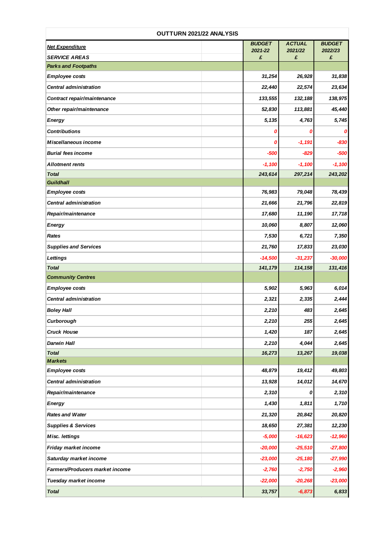| OUTTURN 2021/22 ANALYSIS        |                          |                          |                          |  |
|---------------------------------|--------------------------|--------------------------|--------------------------|--|
| <b>Net Expenditure</b>          | <b>BUDGET</b><br>2021-22 | <b>ACTUAL</b><br>2021/22 | <b>BUDGET</b><br>2022/23 |  |
| <b>SERVICE AREAS</b>            | £                        | £                        | £                        |  |
| <b>Parks and Footpaths</b>      |                          |                          |                          |  |
| <b>Employee costs</b>           | 31,254                   | 26,928                   | 31,838                   |  |
| <b>Central administration</b>   | 22,440                   | 22,574                   | 23,634                   |  |
| Contract repair/maintenance     | 133,555                  | 132,188                  | 138,975                  |  |
| Other repair/maintenance        | 52,830                   | 113,881                  | 45,440                   |  |
| <b>Energy</b>                   | 5,135                    | 4,763                    | 5,745                    |  |
| <b>Contributions</b>            | 0                        | Ω                        | 0                        |  |
| Miscellaneous income            | 0                        | $-1,191$                 | $-830$                   |  |
| <b>Burial fees income</b>       | $-500$                   | -829                     | -500                     |  |
| <b>Allotment rents</b>          | $-1,100$                 | $-1,100$                 | $-1,100$                 |  |
| <b>Total</b>                    | 243,614                  | 297,214                  | 243,202                  |  |
| <b>Guildhall</b>                |                          |                          |                          |  |
| <b>Employee costs</b>           | 76,983                   | 79,048                   | 78,439                   |  |
| <b>Central administration</b>   | 21,666                   | 21,796                   | 22,819                   |  |
| Repair/maintenance              | 17,680                   | 11,190                   | 17,718                   |  |
| <b>Energy</b>                   | 10,060                   | 8,807                    | 12,060                   |  |
| Rates                           | 7,530                    | 6,721                    | 7,350                    |  |
| <b>Supplies and Services</b>    | 21,760                   | 17,833                   | 23,030                   |  |
| <b>Lettings</b>                 | $-14,500$                | $-31,237$                | $-30,000$                |  |
| <b>Total</b>                    | 141,179                  | 114,158                  | 131,416                  |  |
| <b>Community Centres</b>        |                          |                          |                          |  |
| <b>Employee costs</b>           | 5,902                    | 5,963                    | 6,014                    |  |
| <b>Central administration</b>   | 2,321                    | 2,335                    | 2,444                    |  |
| <b>Boley Hall</b>               | 2,210                    | 483                      | 2,645                    |  |
| Curborough                      | 2,210                    | 255                      | 2,645                    |  |
| <b>Cruck House</b>              | 1,420                    | 187                      | 2,645                    |  |
| <b>Darwin Hall</b>              | 2,210                    | 4,044                    | 2,645                    |  |
| <b>Total</b>                    | 16,273                   | 13,267                   | 19,038                   |  |
| <b>Markets</b>                  |                          |                          |                          |  |
| <b>Employee costs</b>           | 48,879                   | 19,412                   | 49,803                   |  |
| <b>Central administration</b>   | 13,928                   | 14,012                   | 14,670                   |  |
| Repair/maintenance              | 2,310                    | 0                        | 2,310                    |  |
| <b>Energy</b>                   | 1,430                    | 1,811                    | 1,710                    |  |
| <b>Rates and Water</b>          | 21,320                   | 20,842                   | 20,820                   |  |
| <b>Supplies &amp; Services</b>  | 18,650                   | 27,381                   | 12,230                   |  |
| <b>Misc. lettings</b>           | $-5,000$                 | $-16,623$                | $-12,960$                |  |
| Friday market income            | $-20,000$                | $-25,510$                | $-27,800$                |  |
| Saturday market income          | $-23,000$                | $-25,180$                | $-27,990$                |  |
| Farmers/Producers market income | $-2,760$                 | $-2,750$                 | $-2,960$                 |  |
| Tuesday market income           | $-22,000$                | $-20,268$                | $-23,000$                |  |
| <b>Total</b>                    | 33,757                   | $-6,873$                 | 6,833                    |  |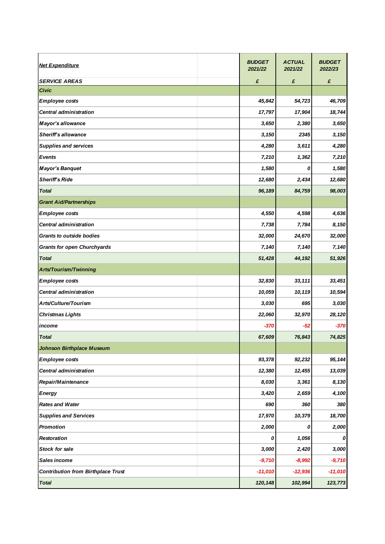| <b>Net Expenditure</b>                    | <b>BUDGET</b><br>2021/22 | <b>ACTUAL</b><br>2021/22 | <b>BUDGET</b><br>2022/23 |
|-------------------------------------------|--------------------------|--------------------------|--------------------------|
| <b>SERVICE AREAS</b>                      | £                        | £                        | £                        |
| <b>Civic</b>                              |                          |                          |                          |
| <b>Employee costs</b>                     | 45,842                   | 54,723                   | 46,709                   |
| Central administration                    | 17,797                   | 17,904                   | 18,744                   |
| <b>Mayor's allowance</b>                  | 3,650                    | 2,380                    | 3,650                    |
| <b>Sheriff's allowance</b>                | 3,150                    | 2345                     | 3,150                    |
| <b>Supplies and services</b>              | 4,280                    | 3,611                    | 4,280                    |
| <b>Events</b>                             | 7,210                    | 1,362                    | 7,210                    |
| <b>Mayor's Banquet</b>                    | 1,580                    | 0                        | 1,580                    |
| <b>Sheriff's Ride</b>                     | 12,680                   | 2,434                    | 12,680                   |
| <b>Total</b>                              | 96,189                   | 84,759                   | 98,003                   |
| <b>Grant Aid/Partnerships</b>             |                          |                          |                          |
| <b>Employee costs</b>                     | 4,550                    | 4,598                    | 4,636                    |
| <b>Central administration</b>             | 7,738                    | 7,784                    | 8,150                    |
| <b>Grants to outside bodies</b>           | 32,000                   | 24,670                   | 32,000                   |
| <b>Grants for open Churchyards</b>        | 7,140                    | 7,140                    | 7,140                    |
| <b>Total</b>                              | 51,428                   | 44,192                   | 51,926                   |
| Arts/Tourism/Twinning                     |                          |                          |                          |
| <b>Employee costs</b>                     | 32,830                   | 33,111                   | 33,451                   |
| <b>Central administration</b>             | 10,059                   | 10,119                   | 10,594                   |
| Arts/Culture/Tourism                      | 3,030                    | 695                      | 3,030                    |
| <b>Christmas Lights</b>                   | 22,060                   | 32,970                   | 28,120                   |
| income                                    | -370                     | -52                      | $-370$                   |
| <b>Total</b>                              | 67,609                   | 76,843                   | 74,825                   |
| <b>Johnson Birthplace Museum</b>          |                          |                          |                          |
| <b>Employee costs</b>                     | 93,378                   | 92,232                   | 95, 144                  |
| <b>Central administration</b>             | 12,380                   | 12,455                   | 13,039                   |
| Repair/Maintenance                        | 8,030                    | 3,361                    | 8,130                    |
| <b>Energy</b>                             | 3,420                    | 2,659                    | 4,100                    |
| <b>Rates and Water</b>                    | 690                      | 360                      | 380                      |
| <b>Supplies and Services</b>              | 17,970                   | 10,379                   | 18,700                   |
| <b>Promotion</b>                          | 2,000                    | 0                        | 2,000                    |
| <b>Restoration</b>                        | 0                        | 1,056                    | 0                        |
| Stock for sale                            | 3,000                    | 2,420                    | 3,000                    |
| Sales income                              | $-9,710$                 | $-8,992$                 | $-9,710$                 |
| <b>Contribution from Birthplace Trust</b> | $-11,010$                | $-12,936$                | $-11,010$                |
| <b>Total</b>                              | 120, 148                 | 102,994                  | 123,773                  |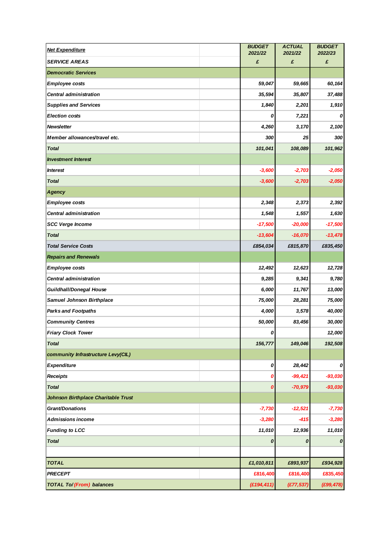| <b>Net Expenditure</b>                     | <b>BUDGET</b><br>2021/22 | <b>ACTUAL</b><br>2021/22 | <b>BUDGET</b><br>2022/23 |
|--------------------------------------------|--------------------------|--------------------------|--------------------------|
| <b>SERVICE AREAS</b>                       | £                        | £                        | £                        |
| <b>Democratic Services</b>                 |                          |                          |                          |
| <b>Employee costs</b>                      | 59,047                   | 59,665                   | 60,164                   |
| <b>Central administration</b>              | 35,594                   | 35,807                   | 37,488                   |
| <b>Supplies and Services</b>               | 1,840                    | 2,201                    | 1,910                    |
| <b>Election costs</b>                      | 0                        | 7,221                    | 0                        |
| <b>Newsletter</b>                          | 4,260                    | 3,170                    | 2,100                    |
| Member allowances/travel etc.              | 300                      | 25                       | 300                      |
| <b>Total</b>                               | 101,041                  | 108,089                  | 101,962                  |
| <b>Investment Interest</b>                 |                          |                          |                          |
| <b>Interest</b>                            | $-3,600$                 | $-2,703$                 | $-2,050$                 |
| <b>Total</b>                               | $-3,600$                 | $-2,703$                 | $-2,050$                 |
| <b>Agency</b>                              |                          |                          |                          |
| <b>Employee costs</b>                      | 2,348                    | 2,373                    | 2,392                    |
| <b>Central administration</b>              | 1,548                    | 1,557                    | 1,630                    |
| <b>SCC Verge Income</b>                    | $-17,500$                | $-20,000$                | $-17,500$                |
| <b>Total</b>                               | $-13,604$                | $-16,070$                | $-13,478$                |
| <b>Total Service Costs</b>                 | £854,034                 | £815,870                 | £835,450                 |
| <b>Repairs and Renewals</b>                |                          |                          |                          |
| <b>Employee costs</b>                      | 12,492                   | 12,623                   | 12,728                   |
| <b>Central administration</b>              | 9,285                    | 9,341                    | 9,780                    |
| <b>Guildhall/Donegal House</b>             | 6,000                    | 11,767                   | 13,000                   |
| <b>Samuel Johnson Birthplace</b>           | 75,000                   | 28,281                   | 75,000                   |
| <b>Parks and Footpaths</b>                 | 4,000                    | 3,578                    | 40,000                   |
| <b>Community Centres</b>                   | 50,000                   | 83,456                   | 30,000                   |
| <b>Friary Clock Tower</b>                  | υ                        |                          | 12,000                   |
| <b>Total</b>                               | 156,777                  | 149,046                  | 192,508                  |
| community Infrastructure Levy(CIL)         |                          |                          |                          |
| <b>Expenditure</b>                         | 0                        | 28,442                   | 0                        |
| <b>Receipts</b>                            | 0                        | $-99,421$                | $-93,030$                |
| <b>Total</b>                               | 0                        | $-70,979$                | $-93,030$                |
| <b>Johnson Birthplace Charitable Trust</b> |                          |                          |                          |
| <b>Grant/Donations</b>                     | $-7,730$                 | $-12,521$                | $-7,730$                 |
| <b>Admissions income</b>                   | $-3,280$                 | $-415$                   | $-3,280$                 |
| <b>Funding to LCC</b>                      | 11,010                   | 12,936                   | 11,010                   |
| <b>Total</b>                               | 0                        | 0                        | $\pmb{o}$                |
|                                            |                          |                          |                          |
| <b>TOTAL</b>                               | £1,010,811               | £893,937                 | £934,928                 |
| <b>PRECEPT</b>                             | £816,400                 | £816,400                 | £835,450                 |
| <b>TOTAL To/(From) balances</b>            | (E194, 411)              | (E77, 537)               | (E99, 478)               |